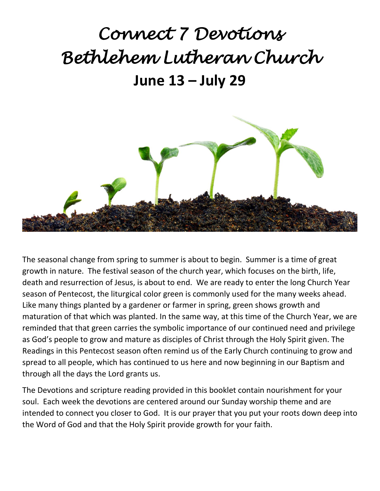## *Connect 7 Devotions Bethlehem Lutheran Church*  **June 13 – July 29**



The seasonal change from spring to summer is about to begin. Summer is a time of great growth in nature. The festival season of the church year, which focuses on the birth, life, death and resurrection of Jesus, is about to end. We are ready to enter the long Church Year season of Pentecost, the liturgical color green is commonly used for the many weeks ahead. Like many things planted by a gardener or farmer in spring, green shows growth and maturation of that which was planted. In the same way, at this time of the Church Year, we are reminded that that green carries the symbolic importance of our continued need and privilege as God's people to grow and mature as disciples of Christ through the Holy Spirit given. The Readings in this Pentecost season often remind us of the Early Church continuing to grow and spread to all people, which has continued to us here and now beginning in our Baptism and through all the days the Lord grants us.

The Devotions and scripture reading provided in this booklet contain nourishment for your soul. Each week the devotions are centered around our Sunday worship theme and are intended to connect you closer to God. It is our prayer that you put your roots down deep into the Word of God and that the Holy Spirit provide growth for your faith.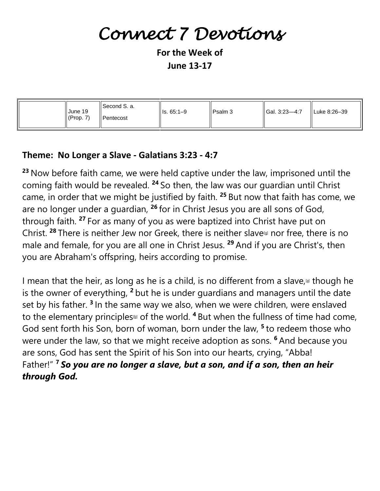## *Connect 7 Devotions*

**For the Week of June 13-17**

| ISecond S. a.<br>June 19<br>$\parallel$ (Prop. 7)<br>Il Pentecost | ll Is. 65:1–9 | l Psalm 3 | $\parallel$ Gal. 3:23-4:7 | ll Luke 8:26–39 |
|-------------------------------------------------------------------|---------------|-----------|---------------------------|-----------------|
|-------------------------------------------------------------------|---------------|-----------|---------------------------|-----------------|

#### **Theme: No Longer a Slave - Galatians 3:23 - 4:7**

**<sup>23</sup>** Now before faith came, we were held captive under the law, imprisoned until the coming faith would be revealed. **<sup>24</sup>** So then, the law was our guardian until Christ came, in order that we might be justified by faith. **<sup>25</sup>** But now that faith has come, we are no longer under a guardian, **<sup>26</sup>** for in Christ Jesus you are all sons of God, through faith. **<sup>27</sup>** For as many of you as were baptized into Christ have put on Christ. <sup>28</sup> There is neither Jew nor Greek, there is neither slave<sup>[\[g\]](https://www.biblegateway.com/passage/?search=gal+3&version=ESV#fen-ESV-29114g)</sup> nor free, there is no male and female, for you are all one in Christ Jesus. **<sup>29</sup>** And if you are Christ's, then you are Abraham's offspring, heirs according to promise.

I mean that the heir, as long as he is a child, is no different from a slave,  $\omega$  though he is the owner of everything, **<sup>2</sup>** but he is under guardians and managers until the date set by his father. **<sup>3</sup>** In the same way we also, when we were children, were enslaved to the elementary principles<sup>th</sup> of the world. <sup>4</sup> But when the fullness of time had come, God sent forth his Son, born of woman, born under the law, **<sup>5</sup>** to redeem those who were under the law, so that we might receive adoption as sons. **<sup>6</sup>** And because you are sons, God has sent the Spirit of his Son into our hearts, crying, "Abba! Father!" **<sup>7</sup>** *So you are no longer a slave, but a son, and if a son, then an heir through God.*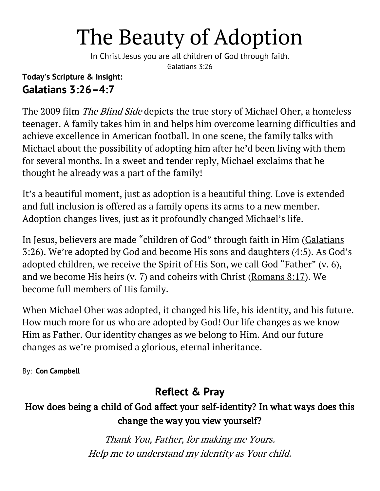## The Beauty of Adoption

In Christ Jesus you are all children of God through faith. [Galatians 3:26](https://biblia.com/bible/niv/Gal%203.26)

#### **Today's Scripture & Insight: Galatians 3:26–4:7**

The 2009 film *The Blind Side* depicts the true story of Michael Oher, a homeless teenager. A family takes him in and helps him overcome learning difficulties and achieve excellence in American football. In one scene, the family talks with Michael about the possibility of adopting him after he'd been living with them for several months. In a sweet and tender reply, Michael exclaims that he thought he already was a part of the family!

It's a beautiful moment, just as adoption is a beautiful thing. Love is extended and full inclusion is offered as a family opens its arms to a new member. Adoption changes lives, just as it profoundly changed Michael's life.

In Jesus, believers are made "children of God" through faith in Him ([Galatians](https://biblia.com/bible/niv/Gal%203.26)  [3:26](https://biblia.com/bible/niv/Gal%203.26)). We're adopted by God and become His sons and daughters (4:5). As God's adopted children, we receive the Spirit of His Son, we call God "Father" (v. 6), and we become His heirs (v. 7) and coheirs with Christ [\(Romans 8:17\)](https://biblia.com/bible/niv/Rom%208.17). We become full members of His family.

When Michael Oher was adopted, it changed his life, his identity, and his future. How much more for us who are adopted by God! Our life changes as we know Him as Father. Our identity changes as we belong to Him. And our future changes as we're promised a glorious, eternal inheritance.

By: **[Con Campbell](https://odb.org/author/constantinecampbell/)**

### **Reflect & Pray**

### How does being a child of God affect your self-identity? In what ways does this change the way you view yourself?

Thank You, Father, for making me Yours. Help me to understand my identity as Your child.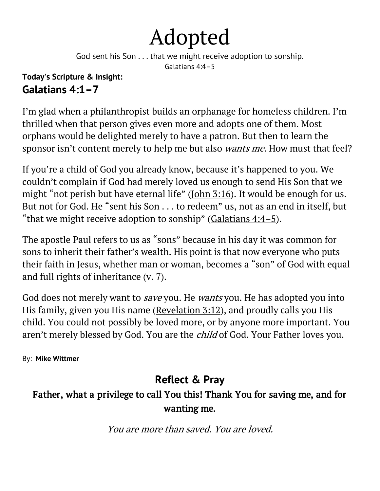## Adopted

God sent his Son . . . that we might receive adoption to sonship.

[Galatians 4:4](https://biblia.com/bible/niv/Gal%204.4%E2%80%935)–5

#### **Today's Scripture & Insight: Galatians 4:1–7**

I'm glad when a philanthropist builds an orphanage for homeless children. I'm thrilled when that person gives even more and adopts one of them. Most orphans would be delighted merely to have a patron. But then to learn the sponsor isn't content merely to help me but also *wants me*. How must that feel?

If you're a child of God you already know, because it's happened to you. We couldn't complain if God had merely loved us enough to send His Son that we might "not perish but have eternal life" ([John 3:16\)](https://biblia.com/bible/niv/John%203.16). It would be enough for us. But not for God. He "sent his Son . . . to redeem" us, not as an end in itself, but "that we might receive adoption to sonship" (Galatians  $4:4-5$ ).

The apostle Paul refers to us as "sons" because in his day it was common for sons to inherit their father's wealth. His point is that now everyone who puts their faith in Jesus, whether man or woman, becomes a "son" of God with equal and full rights of inheritance (v. 7).

God does not merely want to *save* you. He *wants* you. He has adopted you into His family, given you His name [\(Revelation 3:12\)](https://biblia.com/bible/niv/Rev%203.12), and proudly calls you His child. You could not possibly be loved more, or by anyone more important. You aren't merely blessed by God. You are the *child* of God. Your Father loves you.

By: **[Mike Wittmer](https://odb.org/author/mwittmer/)**

### **Reflect & Pray**

#### Father, what a privilege to call You this! Thank You for saving me, and for wanting me.

You are more than saved. You are loved.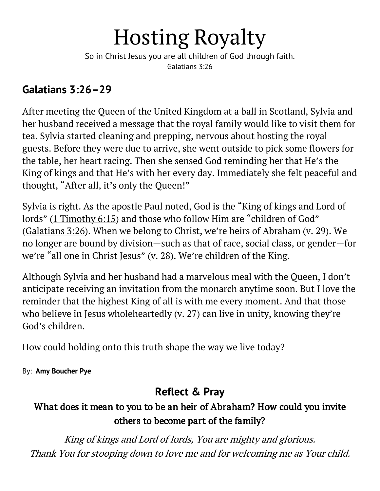## Hosting Royalty

So in Christ Jesus you are all children of God through faith. [Galatians 3:26](https://biblia.com/bible/niv/Gal%203.26)

#### **Galatians 3:26–29**

After meeting the Queen of the United Kingdom at a ball in Scotland, Sylvia and her husband received a message that the royal family would like to visit them for tea. Sylvia started cleaning and prepping, nervous about hosting the royal guests. Before they were due to arrive, she went outside to pick some flowers for the table, her heart racing. Then she sensed God reminding her that He's the King of kings and that He's with her every day. Immediately she felt peaceful and thought, "After all, it's only the Queen!"

Sylvia is right. As the apostle Paul noted, God is the "King of kings and Lord of lords" ([1 Timothy 6:15](https://biblia.com/bible/niv/1%20Tim%206.15)) and those who follow Him are "children of God" [\(Galatians 3:26](https://biblia.com/bible/niv/Gal%203.26)). When we belong to Christ, we're heirs of Abraham (v. 29). We no longer are bound by division—such as that of race, social class, or gender—for we're "all one in Christ Jesus" (v. 28). We're children of the King.

Although Sylvia and her husband had a marvelous meal with the Queen, I don't anticipate receiving an invitation from the monarch anytime soon. But I love the reminder that the highest King of all is with me every moment. And that those who believe in Jesus wholeheartedly (v. 27) can live in unity, knowing they're God's children.

How could holding onto this truth shape the way we live today?

By: **[Amy Boucher Pye](https://odb.org/author/amyboucherpye/)**

### **Reflect & Pray**

#### What does it mean to you to be an heir of Abraham? How could you invite others to become part of the family?

King of kings and Lord of lords, You are mighty and glorious. Thank You for stooping down to love me and for welcoming me as Your child.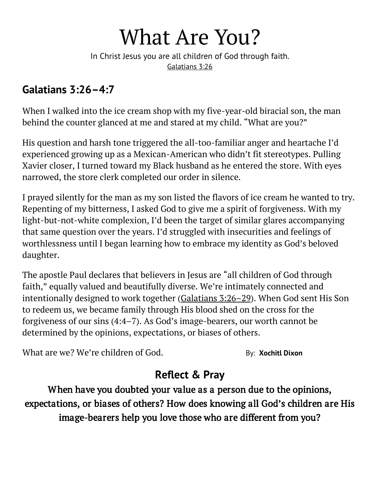## What Are You?

In Christ Jesus you are all children of God through faith. [Galatians 3:26](https://biblia.com/bible/niv/Gal%203.26)

#### **Galatians 3:26–4:7**

When I walked into the ice cream shop with my five-year-old biracial son, the man behind the counter glanced at me and stared at my child. "What are you?"

His question and harsh tone triggered the all-too-familiar anger and heartache I'd experienced growing up as a Mexican-American who didn't fit stereotypes. Pulling Xavier closer, I turned toward my Black husband as he entered the store. With eyes narrowed, the store clerk completed our order in silence.

I prayed silently for the man as my son listed the flavors of ice cream he wanted to try. Repenting of my bitterness, I asked God to give me a spirit of forgiveness. With my light-but-not-white complexion, I'd been the target of similar glares accompanying that same question over the years. I'd struggled with insecurities and feelings of worthlessness until I began learning how to embrace my identity as God's beloved daughter.

The apostle Paul declares that believers in Jesus are "all children of God through faith," equally valued and beautifully diverse. We're intimately connected and intentionally designed to work together [\(Galatians 3:26](https://biblia.com/bible/niv/Gal%203.26%E2%80%9329)–29). When God sent His Son to redeem us, we became family through His blood shed on the cross for the forgiveness of our sins (4:4–7). As God's image-bearers, our worth cannot be determined by the opinions, expectations, or biases of others.

What are we? We're children of God. By: **[Xochitl Dixon](https://odb.org/author/xochitldixon/)** 

### **Reflect & Pray**

When have you doubted your value as a person due to the opinions, expectations, or biases of others? How does knowing all God's children are His image-bearers help you love those who are different from you?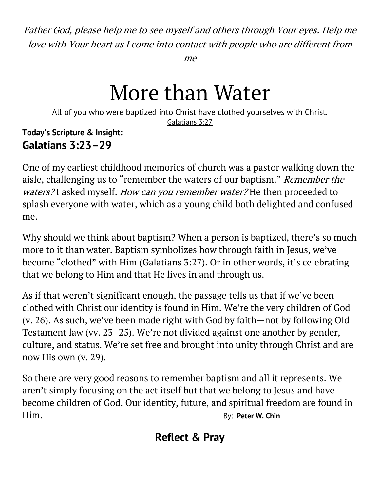Father God, please help me to see myself and others through Your eyes. Help me love with Your heart as I come into contact with people who are different from

me

## More than Water

All of you who were baptized into Christ have clothed yourselves with Christ. [Galatians 3:27](https://biblia.com/bible/niv/Gal%203.27)

#### **Today's Scripture & Insight: Galatians 3:23–29**

One of my earliest childhood memories of church was a pastor walking down the aisle, challenging us to "remember the waters of our baptism." Remember the waters?I asked myself. How can you remember water?He then proceeded to splash everyone with water, which as a young child both delighted and confused me.

Why should we think about baptism? When a person is baptized, there's so much more to it than water. Baptism symbolizes how through faith in Jesus, we've become "clothed" with Him ([Galatians 3:27](https://biblia.com/bible/niv/Gal%203.27)). Or in other words, it's celebrating that we belong to Him and that He lives in and through us.

As if that weren't significant enough, the passage tells us that if we've been clothed with Christ our identity is found in Him. We're the very children of God (v. 26). As such, we've been made right with God by faith—not by following Old Testament law (vv. 23–25). We're not divided against one another by gender, culture, and status. We're set free and brought into unity through Christ and are now His own (v. 29).

So there are very good reasons to remember baptism and all it represents. We aren't simply focusing on the act itself but that we belong to Jesus and have become children of God. Our identity, future, and spiritual freedom are found in Him. By: **[Peter W. Chin](https://odb.org/author/peterwchin/)**

### **Reflect & Pray**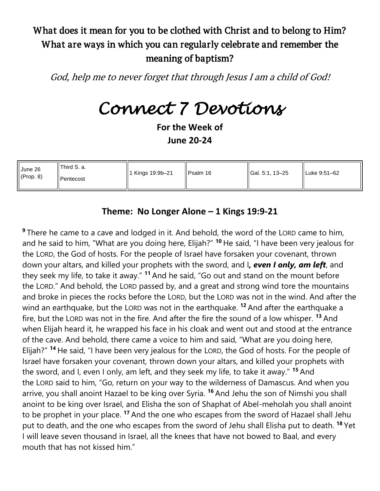#### What does it mean for you to be clothed with Christ and to belong to Him? What are ways in which you can regularly celebrate and remember the meaning of baptism?

God, help me to never forget that through Jesus I am a child of God!

## *Connect 7 Devotions*

**For the Week of June 20-24**

| June 26   | Il Third S. a.   | $\ $ 1 Kings 19:9b-21 | $l$ Psalm 16 | <b>IGal. 5:1. 13–25</b> | ILuke 9:51–62 |
|-----------|------------------|-----------------------|--------------|-------------------------|---------------|
| (Prop. 8) | <b>Pentecost</b> |                       |              |                         |               |

#### **Theme: No Longer Alone – 1 Kings 19:9-21**

**<sup>9</sup>** There he came to a cave and lodged in it. And behold, the word of the LORD came to him, and he said to him, "What are you doing here, Elijah?" **<sup>10</sup>** He said, "I have been very jealous for the LORD, the God of hosts. For the people of Israel have forsaken your covenant, thrown down your altars, and killed your prophets with the sword, and I*, even I only, am left*, and they seek my life, to take it away." **<sup>11</sup>** And he said, "Go out and stand on the mount before the LORD." And behold, the LORD passed by, and a great and strong wind tore the mountains and broke in pieces the rocks before the LORD, but the LORD was not in the wind. And after the wind an earthquake, but the LORD was not in the earthquake. **<sup>12</sup>** And after the earthquake a fire, but the LORD was not in the fire. And after the fire the sound of a low whisper. **<sup>13</sup>** And when Elijah heard it, he wrapped his face in his cloak and went out and stood at the entrance of the cave. And behold, there came a voice to him and said, "What are you doing here, Elijah?" **<sup>14</sup>** He said, "I have been very jealous for the LORD, the God of hosts. For the people of Israel have forsaken your covenant, thrown down your altars, and killed your prophets with the sword, and I, even I only, am left, and they seek my life, to take it away." **<sup>15</sup>** And the LORD said to him, "Go, return on your way to the wilderness of Damascus. And when you arrive, you shall anoint Hazael to be king over Syria. **<sup>16</sup>** And Jehu the son of Nimshi you shall anoint to be king over Israel, and Elisha the son of Shaphat of Abel-meholah you shall anoint to be prophet in your place. **<sup>17</sup>** And the one who escapes from the sword of Hazael shall Jehu put to death, and the one who escapes from the sword of Jehu shall Elisha put to death. **<sup>18</sup>** Yet I will leave seven thousand in Israel, all the knees that have not bowed to Baal, and every mouth that has not kissed him."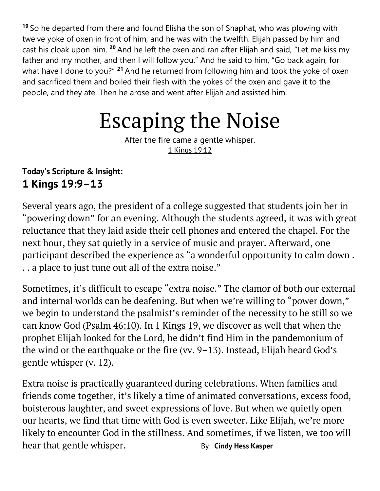**<sup>19</sup>** So he departed from there and found Elisha the son of Shaphat, who was plowing with twelve yoke of oxen in front of him, and he was with the twelfth. Elijah passed by him and cast his cloak upon him. **<sup>20</sup>** And he left the oxen and ran after Elijah and said, "Let me kiss my father and my mother, and then I will follow you." And he said to him, "Go back again, for what have I done to you?" **<sup>21</sup>** And he returned from following him and took the yoke of oxen and sacrificed them and boiled their flesh with the yokes of the oxen and gave it to the people, and they ate. Then he arose and went after Elijah and assisted him.

## Escaping the Noise

After the fire came a gentle whisper. [1 Kings 19:12](https://biblia.com/bible/niv/1%20Kings%2019.12)

#### **Today's Scripture & Insight: 1 Kings 19:9–13**

Several years ago, the president of a college suggested that students join her in "powering down" for an evening. Although the students agreed, it was with great reluctance that they laid aside their cell phones and entered the chapel. For the next hour, they sat quietly in a service of music and prayer. Afterward, one participant described the experience as "a wonderful opportunity to calm down . . . a place to just tune out all of the extra noise."

Sometimes, it's difficult to escape "extra noise." The clamor of both our external and internal worlds can be deafening. But when we're willing to "power down," we begin to understand the psalmist's reminder of the necessity to be still so we can know God [\(Psalm 46:10\)](https://biblia.com/bible/niv/Ps%2046.10). In [1 Kings 19,](https://biblia.com/bible/niv/1%20Kings%2019) we discover as well that when the prophet Elijah looked for the Lord, he didn't find Him in the pandemonium of the wind or the earthquake or the fire (vv. 9–13). Instead, Elijah heard God's gentle whisper (v. 12).

Extra noise is practically guaranteed during celebrations. When families and friends come together, it's likely a time of animated conversations, excess food, boisterous laughter, and sweet expressions of love. But when we quietly open our hearts, we find that time with God is even sweeter. Like Elijah, we're more likely to encounter God in the stillness. And sometimes, if we listen, we too will hear that gentle whisper. **By:** [Cindy Hess Kasper](https://odb.org/author/cindyhesskasper/)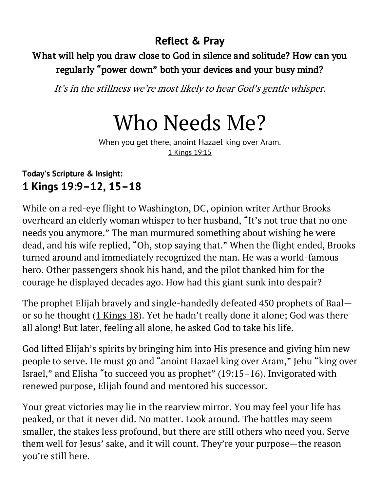#### What will help you draw close to God in silence and solitude? How can you regularly "power down" both your devices and your busy mind?

It's in the stillness we're most likely to hear God's gentle whisper.

## Who Needs Me?

When you get there, anoint Hazael king over Aram. [1 Kings 19:15](https://biblia.com/bible/niv/1%20Kings%2019.15)

#### **Today's Scripture & Insight: 1 Kings 19:9–12, 15–18**

While on a red-eye flight to Washington, DC, opinion writer Arthur Brooks overheard an elderly woman whisper to her husband, "It's not true that no one needs you anymore." The man murmured something about wishing he were dead, and his wife replied, "Oh, stop saying that." When the flight ended, Brooks turned around and immediately recognized the man. He was a world-famous hero. Other passengers shook his hand, and the pilot thanked him for the courage he displayed decades ago. How had this giant sunk into despair?

The prophet Elijah bravely and single-handedly defeated 450 prophets of Baal or so he thought  $(1$  Kings 18). Yet he hadn't really done it alone; God was there all along! But later, feeling all alone, he asked God to take his life.

God lifted Elijah's spirits by bringing him into His presence and giving him new people to serve. He must go and "anoint Hazael king over Aram," Jehu "king over Israel," and Elisha "to succeed you as prophet" (19:15–16). Invigorated with renewed purpose, Elijah found and mentored his successor.

Your great victories may lie in the rearview mirror. You may feel your life has peaked, or that it never did. No matter. Look around. The battles may seem smaller, the stakes less profound, but there are still others who need you. Serve them well for Jesus' sake, and it will count. They're your purpose—the reason you're still here.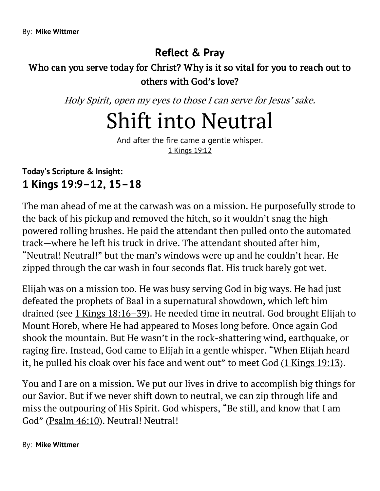#### Who can you serve today for Christ? Why is it so vital for you to reach out to others with God's love?

Holy Spirit, open my eyes to those I can serve for Jesus' sake.

## Shift into Neutral

And after the fire came a gentle whisper. [1 Kings 19:12](https://biblia.com/bible/niv/1%20Kings%2019.12)

#### **Today's Scripture & Insight: 1 Kings 19:9–12, 15–18**

The man ahead of me at the carwash was on a mission. He purposefully strode to the back of his pickup and removed the hitch, so it wouldn't snag the highpowered rolling brushes. He paid the attendant then pulled onto the automated track—where he left his truck in drive. The attendant shouted after him, "Neutral! Neutral!" but the man's windows were up and he couldn't hear. He zipped through the car wash in four seconds flat. His truck barely got wet.

Elijah was on a mission too. He was busy serving God in big ways. He had just defeated the prophets of Baal in a supernatural showdown, which left him drained (see [1 Kings 18:16](https://biblia.com/bible/niv/1%20Kings%2018.16%E2%80%9339)–39). He needed time in neutral. God brought Elijah to Mount Horeb, where He had appeared to Moses long before. Once again God shook the mountain. But He wasn't in the rock-shattering wind, earthquake, or raging fire. Instead, God came to Elijah in a gentle whisper. "When Elijah heard it, he pulled his cloak over his face and went out" to meet God ([1 Kings 19:13\)](https://biblia.com/bible/niv/1%20Kings%2019.13).

You and I are on a mission. We put our lives in drive to accomplish big things for our Savior. But if we never shift down to neutral, we can zip through life and miss the outpouring of His Spirit. God whispers, "Be still, and know that I am God" ([Psalm 46:10\)](https://biblia.com/bible/niv/Ps%2046.10). Neutral! Neutral!

#### By: **[Mike Wittmer](https://odb.org/author/mwittmer/)**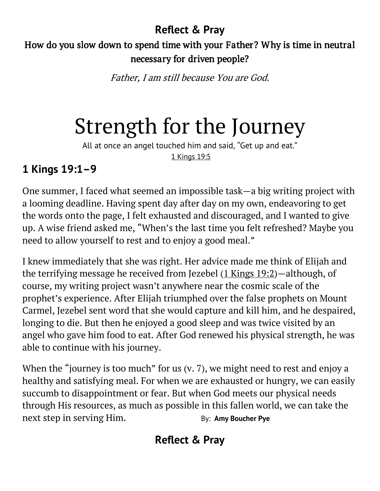### How do you slow down to spend time with your Father? Why is time in neutral necessary for driven people?

Father, I am still because You are God.

# Strength for the Journey

All at once an angel touched him and said, "Get up and eat." [1 Kings 19:5](https://biblia.com/bible/niv/1%20Kings%2019.5)

### **1 Kings 19:1–9**

One summer, I faced what seemed an impossible task—a big writing project with a looming deadline. Having spent day after day on my own, endeavoring to get the words onto the page, I felt exhausted and discouraged, and I wanted to give up. A wise friend asked me, "When's the last time you felt refreshed? Maybe you need to allow yourself to rest and to enjoy a good meal."

I knew immediately that she was right. Her advice made me think of Elijah and the terrifying message he received from Jezebel [\(1 Kings 19:2\)](https://biblia.com/bible/niv/1%20Kings%2019.2)—although, of course, my writing project wasn't anywhere near the cosmic scale of the prophet's experience. After Elijah triumphed over the false prophets on Mount Carmel, Jezebel sent word that she would capture and kill him, and he despaired, longing to die. But then he enjoyed a good sleep and was twice visited by an angel who gave him food to eat. After God renewed his physical strength, he was able to continue with his journey.

When the "journey is too much" for us (v. 7), we might need to rest and enjoy a healthy and satisfying meal. For when we are exhausted or hungry, we can easily succumb to disappointment or fear. But when God meets our physical needs through His resources, as much as possible in this fallen world, we can take the next step in serving Him. By: [Amy Boucher Pye](https://odb.org/author/amyboucherpye/)

### **Reflect & Pray**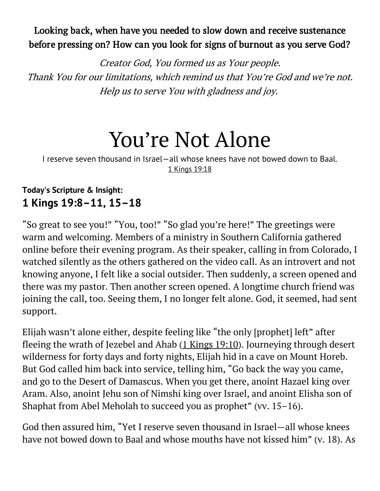#### Looking back, when have you needed to slow down and receive sustenance before pressing on? How can you look for signs of burnout as you serve God?

Creator God, You formed us as Your people. Thank You for our limitations, which remind us that You're God and we're not. Help us to serve You with gladness and joy.

## You're Not Alone

I reserve seven thousand in Israel—all whose knees have not bowed down to Baal. [1 Kings 19:18](https://biblia.com/bible/niv/1%20Kings%2019.18)

#### **Today's Scripture & Insight: 1 Kings 19:8–11, 15–18**

"So great to see you!" "You, too!" "So glad you're here!" The greetings were warm and welcoming. Members of a ministry in Southern California gathered online before their evening program. As their speaker, calling in from Colorado, I watched silently as the others gathered on the video call. As an introvert and not knowing anyone, I felt like a social outsider. Then suddenly, a screen opened and there was my pastor. Then another screen opened. A longtime church friend was joining the call, too. Seeing them, I no longer felt alone. God, it seemed, had sent support.

Elijah wasn't alone either, despite feeling like "the only [prophet] left" after fleeing the wrath of Jezebel and Ahab [\(1 Kings 19:10\)](https://biblia.com/bible/niv/1%20Kings%2019.10). Journeying through desert wilderness for forty days and forty nights, Elijah hid in a cave on Mount Horeb. But God called him back into service, telling him, "Go back the way you came, and go to the Desert of Damascus. When you get there, anoint Hazael king over Aram. Also, anoint Jehu son of Nimshi king over Israel, and anoint Elisha son of Shaphat from Abel Meholah to succeed you as prophet" (vv. 15–16).

God then assured him, "Yet I reserve seven thousand in Israel—all whose knees have not bowed down to Baal and whose mouths have not kissed him" (v. 18). As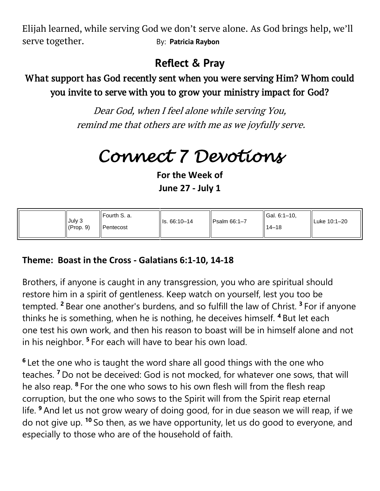Elijah learned, while serving God we don't serve alone. As God brings help, we'll serve together. By: [Patricia Raybon](https://odb.org/author/patriciaraybon/)

### **Reflect & Pray**

#### What support has God recently sent when you were serving Him? Whom could you invite to serve with you to grow your ministry impact for God?

Dear God, when I feel alone while serving You, remind me that others are with me as we joyfully serve.

## *Connect 7 Devotions*

**For the Week of June 27 - July 1**

| ll Fourth S. a.<br>July 3<br>(Prop. 9)<br>I Pentecost | $\parallel$ Is. 66:10-14 | $l$ Psalm 66:1-7 | $\parallel$ Gal. 6:1-10.<br>ll 14–18 | ll Luke 10:1–20 |
|-------------------------------------------------------|--------------------------|------------------|--------------------------------------|-----------------|
|-------------------------------------------------------|--------------------------|------------------|--------------------------------------|-----------------|

#### **Theme: Boast in the Cross - Galatians 6:1-10, 14-18**

Brothers, if anyone is caught in any transgression, you who are spiritual should restore him in a spirit of gentleness. Keep watch on yourself, lest you too be tempted. **<sup>2</sup>** Bear one another's burdens, and so fulfill the law of Christ. **<sup>3</sup>** For if anyone thinks he is something, when he is nothing, he deceives himself. **<sup>4</sup>** But let each one test his own work, and then his reason to boast will be in himself alone and not in his neighbor. **<sup>5</sup>** For each will have to bear his own load.

**6** Let the one who is taught the word share all good things with the one who teaches. **<sup>7</sup>** Do not be deceived: God is not mocked, for whatever one sows, that will he also reap. **<sup>8</sup>** For the one who sows to his own flesh will from the flesh reap corruption, but the one who sows to the Spirit will from the Spirit reap eternal life. **<sup>9</sup>** And let us not grow weary of doing good, for in due season we will reap, if we do not give up. **<sup>10</sup>** So then, as we have opportunity, let us do good to everyone, and especially to those who are of the household of faith.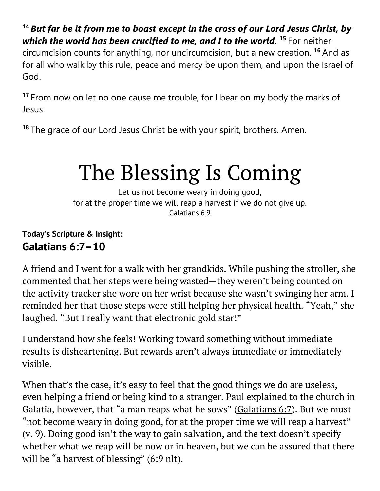**<sup>14</sup>** *But far be it from me to boast except in the cross of our Lord Jesus Christ, by which the world has been crucified to me, and I to the world.* **<sup>15</sup>** For neither circumcision counts for anything, nor uncircumcision, but a new creation. **<sup>16</sup>** And as for all who walk by this rule, peace and mercy be upon them, and upon the Israel of God.

**<sup>17</sup>** From now on let no one cause me trouble, for I bear on my body the marks of Jesus.

**<sup>18</sup>** The grace of our Lord Jesus Christ be with your spirit, brothers. Amen.

# The Blessing Is Coming

Let us not become weary in doing good, for at the proper time we will reap a harvest if we do not give up. [Galatians 6:9](https://biblia.com/bible/niv/Gal%206.9)

#### **Today's Scripture & Insight: Galatians 6:7–10**

A friend and I went for a walk with her grandkids. While pushing the stroller, she commented that her steps were being wasted—they weren't being counted on the activity tracker she wore on her wrist because she wasn't swinging her arm. I reminded her that those steps were still helping her physical health. "Yeah," she laughed. "But I really want that electronic gold star!"

I understand how she feels! Working toward something without immediate results is disheartening. But rewards aren't always immediate or immediately visible.

When that's the case, it's easy to feel that the good things we do are useless, even helping a friend or being kind to a stranger. Paul explained to the church in Galatia, however, that "a man reaps what he sows" ([Galatians 6:7\)](https://biblia.com/bible/niv/Gal%206.7). But we must "not become weary in doing good, for at the proper time we will reap a harvest" (v. 9). Doing good isn't the way to gain salvation, and the text doesn't specify whether what we reap will be now or in heaven, but we can be assured that there will be "a harvest of blessing" (6:9 nlt).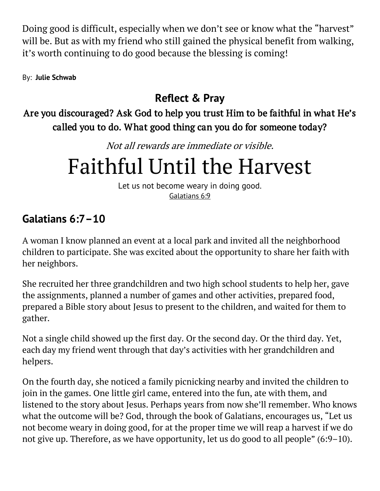Doing good is difficult, especially when we don't see or know what the "harvest" will be. But as with my friend who still gained the physical benefit from walking, it's worth continuing to do good because the blessing is coming!

By: **[Julie Schwab](https://odb.org/author/jschwab95/)**

### **Reflect & Pray**

Are you discouraged? Ask God to help you trust Him to be faithful in what He's called you to do. What good thing can you do for someone today?

Not all rewards are immediate or visible.

## Faithful Until the Harvest

Let us not become weary in doing good. [Galatians 6:9](https://biblia.com/bible/niv/Gal%206.9)

### **Galatians 6:7–10**

A woman I know planned an event at a local park and invited all the neighborhood children to participate. She was excited about the opportunity to share her faith with her neighbors.

She recruited her three grandchildren and two high school students to help her, gave the assignments, planned a number of games and other activities, prepared food, prepared a Bible story about Jesus to present to the children, and waited for them to gather.

Not a single child showed up the first day. Or the second day. Or the third day. Yet, each day my friend went through that day's activities with her grandchildren and helpers.

On the fourth day, she noticed a family picnicking nearby and invited the children to join in the games. One little girl came, entered into the fun, ate with them, and listened to the story about Jesus. Perhaps years from now she'll remember. Who knows what the outcome will be? God, through the book of Galatians, encourages us, "Let us not become weary in doing good, for at the proper time we will reap a harvest if we do not give up. Therefore, as we have opportunity, let us do good to all people" (6:9–10).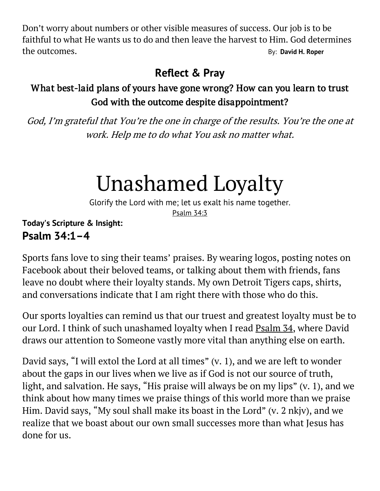Don't worry about numbers or other visible measures of success. Our job is to be faithful to what He wants us to do and then leave the harvest to Him. God determines the outcomes. By: **[David H. Roper](https://odb.org/author/davidhroper/)**

### **Reflect & Pray**

#### What best-laid plans of yours have gone wrong? How can you learn to trust God with the outcome despite disappointment?

God, I'm grateful that You're the one in charge of the results. You're the one at work. Help me to do what You ask no matter what.

## Unashamed Loyalty

Glorify the Lord with me; let us exalt his name together. [Psalm 34:3](https://biblia.com/bible/niv/Ps%2034.3)

#### **Today's Scripture & Insight: Psalm 34:1–4**

Sports fans love to sing their teams' praises. By wearing logos, posting notes on Facebook about their beloved teams, or talking about them with friends, fans leave no doubt where their loyalty stands. My own Detroit Tigers caps, shirts, and conversations indicate that I am right there with those who do this.

Our sports loyalties can remind us that our truest and greatest loyalty must be to our Lord. I think of such unashamed loyalty when I read [Psalm 34,](https://biblia.com/bible/niv/Ps%2034) where David draws our attention to Someone vastly more vital than anything else on earth.

David says, "I will extol the Lord at all times" (v. 1), and we are left to wonder about the gaps in our lives when we live as if God is not our source of truth, light, and salvation. He says, "His praise will always be on my lips" (v. 1), and we think about how many times we praise things of this world more than we praise Him. David says, "My soul shall make its boast in the Lord" (v. 2 nkjv), and we realize that we boast about our own small successes more than what Jesus has done for us.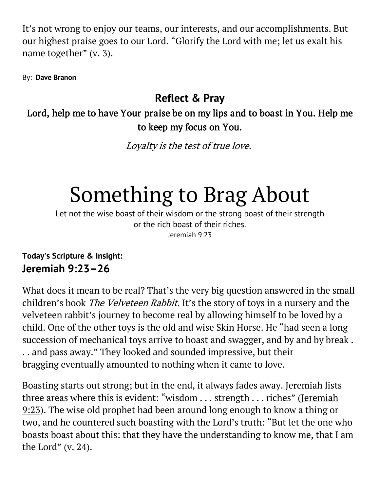It's not wrong to enjoy our teams, our interests, and our accomplishments. But our highest praise goes to our Lord. "Glorify the Lord with me; let us exalt his name together" (v. 3).

By: **[Dave Branon](https://odb.org/author/davebranon/)**

#### **Reflect & Pray**

#### Lord, help me to have Your praise be on my lips and to boast in You. Help me to keep my focus on You.

Loyalty is the test of true love.

# Something to Brag About

Let not the wise boast of their wisdom or the strong boast of their strength or the rich boast of their riches. [Jeremiah 9:23](https://biblia.com/bible/niv/Jer%209.23)

**Today's Scripture & Insight: Jeremiah 9:23–26**

What does it mean to be real? That's the very big question answered in the small children's book *The Velveteen Rabbit*. It's the story of toys in a nursery and the velveteen rabbit's journey to become real by allowing himself to be loved by a child. One of the other toys is the old and wise Skin Horse. He "had seen a long succession of mechanical toys arrive to boast and swagger, and by and by break. . . and pass away." They looked and sounded impressive, but their bragging eventually amounted to nothing when it came to love.

Boasting starts out strong; but in the end, it always fades away. Jeremiah lists three areas where this is evident: "wisdom . . . strength . . . riches" (Jeremiah [9:23\)](https://biblia.com/bible/niv/Jer%209.23). The wise old prophet had been around long enough to know a thing or two, and he countered such boasting with the Lord's truth: "But let the one who boasts boast about this: that they have the understanding to know me, that I am the Lord" (v. 24).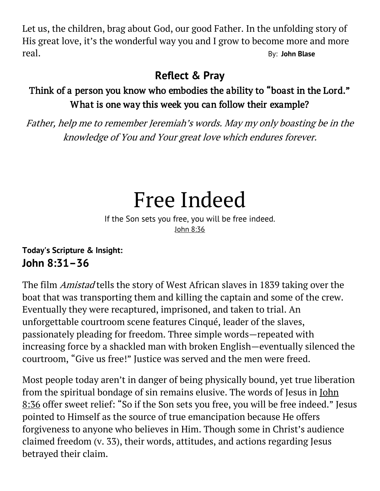Let us, the children, brag about God, our good Father. In the unfolding story of His great love, it's the wonderful way you and I grow to become more and more real. By: **[John Blase](https://odb.org/author/johnblase/)**

### **Reflect & Pray**

#### Think of a person you know who embodies the ability to "boast in the Lord." What is one way this week you can follow their example?

Father, help me to remember Jeremiah's words. May my only boasting be in the knowledge of You and Your great love which endures forever.

## Free Indeed

If the Son sets you free, you will be free indeed. [John 8:36](https://biblia.com/bible/niv/John%208.36)

**Today's Scripture & Insight: John 8:31–36**

The film Amistad tells the story of West African slaves in 1839 taking over the boat that was transporting them and killing the captain and some of the crew. Eventually they were recaptured, imprisoned, and taken to trial. An unforgettable courtroom scene features Cinqué, leader of the slaves, passionately pleading for freedom. Three simple words—repeated with increasing force by a shackled man with broken English—eventually silenced the courtroom, "Give us free!" Justice was served and the men were freed.

Most people today aren't in danger of being physically bound, yet true liberation from the spiritual bondage of sin remains elusive. The words of Jesus in [John](https://biblia.com/bible/niv/John%208.36)  [8:36](https://biblia.com/bible/niv/John%208.36) offer sweet relief: "So if the Son sets you free, you will be free indeed." Jesus pointed to Himself as the source of true emancipation because He offers forgiveness to anyone who believes in Him. Though some in Christ's audience claimed freedom (v. 33), their words, attitudes, and actions regarding Jesus betrayed their claim.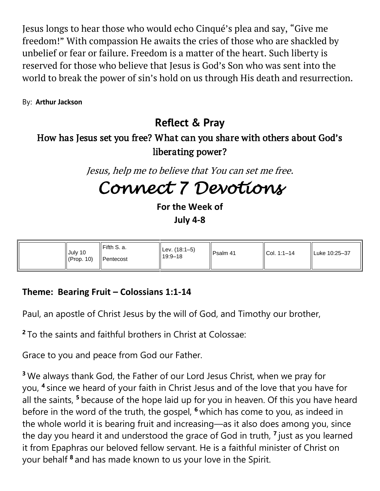Jesus longs to hear those who would echo Cinqué's plea and say, "Give me freedom!" With compassion He awaits the cries of those who are shackled by unbelief or fear or failure. Freedom is a matter of the heart. Such liberty is reserved for those who believe that Jesus is God's Son who was sent into the world to break the power of sin's hold on us through His death and resurrection.

By: **[Arthur Jackson](https://odb.org/author/arthurjackson/)**

### **Reflect & Pray**

#### How has Jesus set you free? What can you share with others about God's liberating power?

Jesus, help me to believe that You can set me free.

## *Connect 7 Devotions*

**For the Week of July 4-8**

| Fifth S. a.<br>July 10<br>(Prop. 10)<br>Il Pentecost | Lev. (18:1–5)<br>$19:9 - 18$ | Psalm 41 | $ICol. 1:1-14$ | Luke 10:25-37 |
|------------------------------------------------------|------------------------------|----------|----------------|---------------|
|------------------------------------------------------|------------------------------|----------|----------------|---------------|

#### **Theme: Bearing Fruit – Colossians 1:1-14**

Paul, an apostle of Christ Jesus by the will of God, and Timothy our brother,

**<sup>2</sup>** To the saints and faithful brothers in Christ at Colossae:

Grace to you and peace from God our Father.

**<sup>3</sup>** We always thank God, the Father of our Lord Jesus Christ, when we pray for you, **<sup>4</sup>** since we heard of your faith in Christ Jesus and of the love that you have for all the saints, **<sup>5</sup>** because of the hope laid up for you in heaven. Of this you have heard before in the word of the truth, the gospel, **<sup>6</sup>** which has come to you, as indeed in the whole world it is bearing fruit and increasing—as it also does among you, since the day you heard it and understood the grace of God in truth, **<sup>7</sup>** just as you learned it from Epaphras our beloved fellow servant. He is a faithful minister of Christ on your behalf **<sup>8</sup>** and has made known to us your love in the Spirit.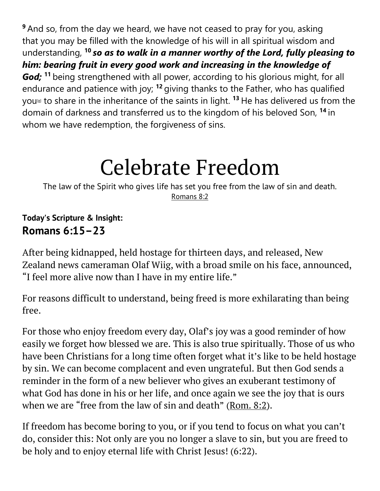**<sup>9</sup>** And so, from the day we heard, we have not ceased to pray for you, asking that you may be filled with the knowledge of his will in all spiritual wisdom and understanding, **<sup>10</sup>** *so as to walk in a manner worthy of the Lord, fully pleasing to him: bearing fruit in every good work and increasing in the knowledge of God;* **<sup>11</sup>** being strengthened with all power, according to his glorious might, for all endurance and patience with joy; **<sup>12</sup>** giving thanks to the Father, who has qualified you[\[e\]](https://www.biblegateway.com/passage/?search=col1&version=ESV#fen-ESV-29461e) to share in the inheritance of the saints in light. **<sup>13</sup>** He has delivered us from the domain of darkness and transferred us to the kingdom of his beloved Son, **<sup>14</sup>** in whom we have redemption, the forgiveness of sins.

# Celebrate Freedom

The law of the Spirit who gives life has set you free from the law of sin and death. [Romans 8:2](https://biblia.com/bible/niv/Rom%208.2)

#### **Today's Scripture & Insight: Romans 6:15–23**

After being kidnapped, held hostage for thirteen days, and released, New Zealand news cameraman Olaf Wiig, with a broad smile on his face, announced, "I feel more alive now than I have in my entire life."

For reasons difficult to understand, being freed is more exhilarating than being free.

For those who enjoy freedom every day, Olaf's joy was a good reminder of how easily we forget how blessed we are. This is also true spiritually. Those of us who have been Christians for a long time often forget what it's like to be held hostage by sin. We can become complacent and even ungrateful. But then God sends a reminder in the form of a new believer who gives an exuberant testimony of what God has done in his or her life, and once again we see the joy that is ours when we are "free from the law of sin and death" ([Rom. 8:2\)](https://biblia.com/bible/niv/Rom.%208.2).

If freedom has become boring to you, or if you tend to focus on what you can't do, consider this: Not only are you no longer a slave to sin, but you are freed to be holy and to enjoy eternal life with Christ Jesus! (6:22).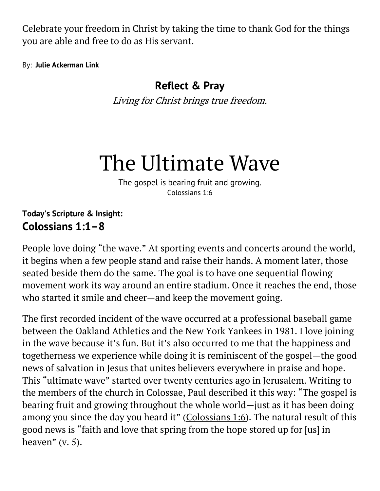Celebrate your freedom in Christ by taking the time to thank God for the things you are able and free to do as His servant.

By: **[Julie Ackerman Link](https://odb.org/author/julieackermanlink/)**

#### **Reflect & Pray**

Living for Christ brings true freedom.

## The Ultimate Wave

The gospel is bearing fruit and growing. [Colossians 1:6](https://biblia.com/bible/niv/Col%201.6)

#### **Today's Scripture & Insight: Colossians 1:1–8**

People love doing "the wave." At sporting events and concerts around the world, it begins when a few people stand and raise their hands. A moment later, those seated beside them do the same. The goal is to have one sequential flowing movement work its way around an entire stadium. Once it reaches the end, those who started it smile and cheer—and keep the movement going.

The first recorded incident of the wave occurred at a professional baseball game between the Oakland Athletics and the New York Yankees in 1981. I love joining in the wave because it's fun. But it's also occurred to me that the happiness and togetherness we experience while doing it is reminiscent of the gospel—the good news of salvation in Jesus that unites believers everywhere in praise and hope. This "ultimate wave" started over twenty centuries ago in Jerusalem. Writing to the members of the church in Colossae, Paul described it this way: "The gospel is bearing fruit and growing throughout the whole world—just as it has been doing among you since the day you heard it" ([Colossians 1:6\)](https://biblia.com/bible/niv/Col%201.6). The natural result of this good news is "faith and love that spring from the hope stored up for [us] in heaven" (v. 5).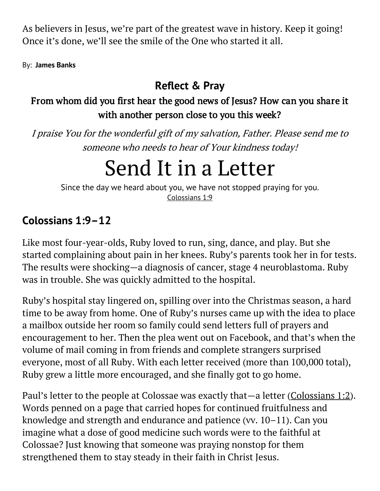As believers in Jesus, we're part of the greatest wave in history. Keep it going! Once it's done, we'll see the smile of the One who started it all.

By: **[James Banks](https://odb.org/author/jamesbanks/)**

### **Reflect & Pray**

#### From whom did you first hear the good news of Jesus? How can you share it with another person close to you this week?

I praise You for the wonderful gift of my salvation, Father. Please send me to someone who needs to hear of Your kindness today!

## Send It in a Letter

Since the day we heard about you, we have not stopped praying for you. [Colossians 1:9](https://biblia.com/bible/niv/Col%201.9)

#### **Colossians 1:9–12**

Like most four-year-olds, Ruby loved to run, sing, dance, and play. But she started complaining about pain in her knees. Ruby's parents took her in for tests. The results were shocking—a diagnosis of cancer, stage 4 neuroblastoma. Ruby was in trouble. She was quickly admitted to the hospital.

Ruby's hospital stay lingered on, spilling over into the Christmas season, a hard time to be away from home. One of Ruby's nurses came up with the idea to place a mailbox outside her room so family could send letters full of prayers and encouragement to her. Then the plea went out on Facebook, and that's when the volume of mail coming in from friends and complete strangers surprised everyone, most of all Ruby. With each letter received (more than 100,000 total), Ruby grew a little more encouraged, and she finally got to go home.

Paul's letter to the people at Colossae was exactly that—a letter [\(Colossians 1:2\)](https://biblia.com/bible/niv/Col%201.2). Words penned on a page that carried hopes for continued fruitfulness and knowledge and strength and endurance and patience (vv. 10–11). Can you imagine what a dose of good medicine such words were to the faithful at Colossae? Just knowing that someone was praying nonstop for them strengthened them to stay steady in their faith in Christ Jesus.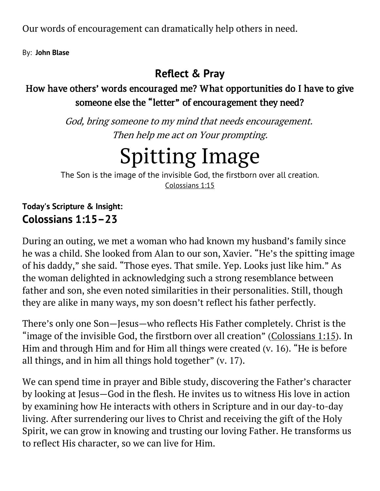Our words of encouragement can dramatically help others in need.

By: **[John Blase](https://odb.org/author/johnblase/)**

### **Reflect & Pray**

#### How have others' words encouraged me? What opportunities do I have to give someone else the "letter" of encouragement they need?

God, bring someone to my mind that needs encouragement. Then help me act on Your prompting.

# Spitting Image

The Son is the image of the invisible God, the firstborn over all creation. [Colossians 1:15](https://biblia.com/bible/niv/Col%201.15)

**Today's Scripture & Insight: Colossians 1:15–23**

During an outing, we met a woman who had known my husband's family since he was a child. She looked from Alan to our son, Xavier. "He's the spitting image of his daddy," she said. "Those eyes. That smile. Yep. Looks just like him." As the woman delighted in acknowledging such a strong resemblance between father and son, she even noted similarities in their personalities. Still, though they are alike in many ways, my son doesn't reflect his father perfectly.

There's only one Son—Jesus—who reflects His Father completely. Christ is the "image of the invisible God, the firstborn over all creation" ([Colossians 1:15\)](https://biblia.com/bible/niv/Col%201.15). In Him and through Him and for Him all things were created (v. 16). "He is before all things, and in him all things hold together" (v. 17).

We can spend time in prayer and Bible study, discovering the Father's character by looking at Jesus—God in the flesh. He invites us to witness His love in action by examining how He interacts with others in Scripture and in our day-to-day living. After surrendering our lives to Christ and receiving the gift of the Holy Spirit, we can grow in knowing and trusting our loving Father. He transforms us to reflect His character, so we can live for Him.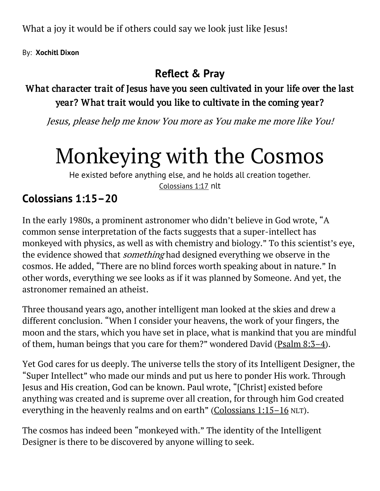What a joy it would be if others could say we look just like Jesus!

By: **[Xochitl Dixon](https://odb.org/author/xochitldixon/)**

### **Reflect & Pray**

#### What character trait of Jesus have you seen cultivated in your life over the last year? What trait would you like to cultivate in the coming year?

Jesus, please help me know You more as You make me more like You!

# Monkeying with the Cosmos

He existed before anything else, and he holds all creation together. [Colossians 1:17](https://biblia.com/bible/niv/Col%201.17) nlt

### **Colossians 1:15–20**

In the early 1980s, a prominent astronomer who didn't believe in God wrote, "A common sense interpretation of the facts suggests that a super-intellect has monkeyed with physics, as well as with chemistry and biology." To this scientist's eye, the evidence showed that *something* had designed everything we observe in the cosmos. He added, "There are no blind forces worth speaking about in nature." In other words, everything we see looks as if it was planned by Someone. And yet, the astronomer remained an atheist.

Three thousand years ago, another intelligent man looked at the skies and drew a different conclusion. "When I consider your heavens, the work of your fingers, the moon and the stars, which you have set in place, what is mankind that you are mindful of them, human beings that you care for them?" wondered David ( $\frac{Psalm}{8:3-4}$ ).

Yet God cares for us deeply. The universe tells the story of its Intelligent Designer, the "Super Intellect" who made our minds and put us here to ponder His work. Through Jesus and His creation, God can be known. Paul wrote, "[Christ] existed before anything was created and is supreme over all creation, for through him God created everything in the heavenly realms and on earth" ([Colossians 1:15](https://biblia.com/bible/niv/Col%201.15%E2%80%9316)–16 NLT).

The cosmos has indeed been "monkeyed with." The identity of the Intelligent Designer is there to be discovered by anyone willing to seek.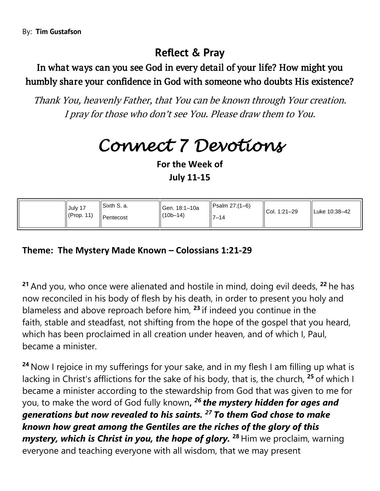#### In what ways can you see God in every detail of your life? How might you humbly share your confidence in God with someone who doubts His existence?

Thank You, heavenly Father, that You can be known through Your creation. I pray for those who don't see You. Please draw them to You.

## *Connect 7 Devotions*

**For the Week of**

**July 11-15**

| Sixth S. a.<br>Gen. 18:1-10a<br>July 17<br>$\parallel$ (10b-14)<br>$\mathsf{I}$ (Prop. 11)<br><b>I</b> Pentecost | $\parallel$ Psalm 27:(1–6)<br>$17 - 14$ | $ICol. 1:21-29$ | Luke 10:38-42 |
|------------------------------------------------------------------------------------------------------------------|-----------------------------------------|-----------------|---------------|
|------------------------------------------------------------------------------------------------------------------|-----------------------------------------|-----------------|---------------|

#### **Theme: The Mystery Made Known – Colossians 1:21-29**

**<sup>21</sup>** And you, who once were alienated and hostile in mind, doing evil deeds, **<sup>22</sup>** he has now reconciled in his body of flesh by his death, in order to present you holy and blameless and above reproach before him, **<sup>23</sup>** if indeed you continue in the faith, stable and steadfast, not shifting from the hope of the gospel that you heard, which has been proclaimed in all creation under heaven, and of which I, Paul, became a minister.

**<sup>24</sup>** Now I rejoice in my sufferings for your sake, and in my flesh I am filling up what is lacking in Christ's afflictions for the sake of his body, that is, the church, **<sup>25</sup>** of which I became a minister according to the stewardship from God that was given to me for you, to make the word of God fully known**,** *<sup>26</sup> the mystery hidden for ages and generations but now revealed to his saints. <sup>27</sup> To them God chose to make known how great among the Gentiles are the riches of the glory of this mystery, which is Christ in you, the hope of glory.* **<sup>28</sup>** Him we proclaim, warning everyone and teaching everyone with all wisdom, that we may present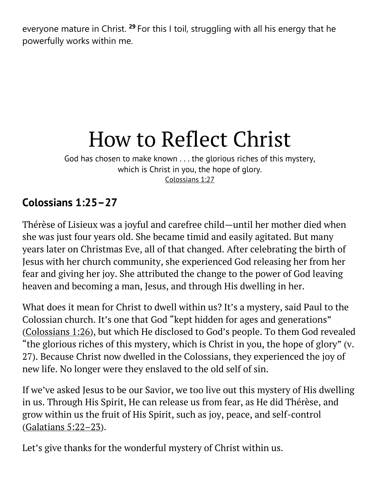everyone mature in Christ. **<sup>29</sup>** For this I toil, struggling with all his energy that he powerfully works within me.

# How to Reflect Christ

God has chosen to make known . . . the glorious riches of this mystery, which is Christ in you, the hope of glory. [Colossians 1:27](https://biblia.com/bible/niv/Col%201.27)

### **Colossians 1:25–27**

Thérèse of Lisieux was a joyful and carefree child—until her mother died when she was just four years old. She became timid and easily agitated. But many years later on Christmas Eve, all of that changed. After celebrating the birth of Jesus with her church community, she experienced God releasing her from her fear and giving her joy. She attributed the change to the power of God leaving heaven and becoming a man, Jesus, and through His dwelling in her.

What does it mean for Christ to dwell within us? It's a mystery, said Paul to the Colossian church. It's one that God "kept hidden for ages and generations" [\(Colossians 1:26](https://biblia.com/bible/niv/Col%201.26)), but which He disclosed to God's people. To them God revealed "the glorious riches of this mystery, which is Christ in you, the hope of glory" (v. 27). Because Christ now dwelled in the Colossians, they experienced the joy of new life. No longer were they enslaved to the old self of sin.

If we've asked Jesus to be our Savior, we too live out this mystery of His dwelling in us. Through His Spirit, He can release us from fear, as He did Thérèse, and grow within us the fruit of His Spirit, such as joy, peace, and self-control [\(Galatians 5:22](https://biblia.com/bible/niv/Gal%205.22%E2%80%9323)–23).

Let's give thanks for the wonderful mystery of Christ within us.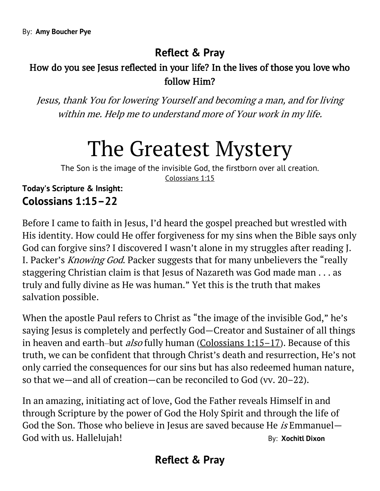#### How do you see Jesus reflected in your life? In the lives of those you love who follow Him?

Jesus, thank You for lowering Yourself and becoming a man, and for living within me. Help me to understand more of Your work in my life.

## The Greatest Mystery

The Son is the image of the invisible God, the firstborn over all creation. [Colossians 1:15](https://biblia.com/bible/niv/Col%201.15)

**Today's Scripture & Insight: Colossians 1:15–22**

Before I came to faith in Jesus, I'd heard the gospel preached but wrestled with His identity. How could He offer forgiveness for my sins when the Bible says only God can forgive sins? I discovered I wasn't alone in my struggles after reading J. I. Packer's *Knowing God*. Packer suggests that for many unbelievers the "really staggering Christian claim is that Jesus of Nazareth was God made man . . . as truly and fully divine as He was human." Yet this is the truth that makes salvation possible.

When the apostle Paul refers to Christ as "the image of the invisible God," he's saying Jesus is completely and perfectly God—Creator and Sustainer of all things in heaven and earth-but *also* fully human (Colossians  $1:15-17$ ). Because of this truth, we can be confident that through Christ's death and resurrection, He's not only carried the consequences for our sins but has also redeemed human nature, so that we—and all of creation—can be reconciled to God (vv. 20–22).

In an amazing, initiating act of love, God the Father reveals Himself in and through Scripture by the power of God the Holy Spirit and through the life of God the Son. Those who believe in Jesus are saved because He is Emmanuel– God with us. Hallelujah! **By: [Xochitl Dixon](https://odb.org/author/xochitldixon/)** 

#### **Reflect & Pray**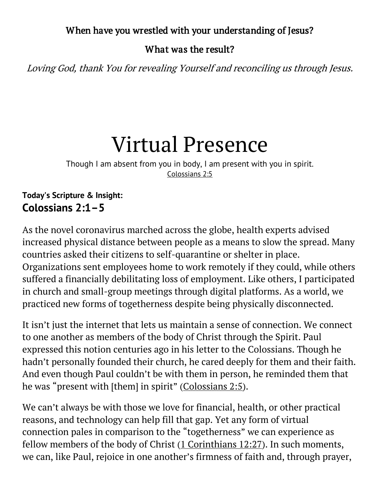#### When have you wrestled with your understanding of Jesus?

#### What was the result?

Loving God, thank You for revealing Yourself and reconciling us through Jesus.

## Virtual Presence

Though I am absent from you in body, I am present with you in spirit. [Colossians 2:5](https://biblia.com/bible/niv/Col%202.5)

#### **Today's Scripture & Insight: Colossians 2:1–5**

As the novel coronavirus marched across the globe, health experts advised increased physical distance between people as a means to slow the spread. Many countries asked their citizens to self-quarantine or shelter in place. Organizations sent employees home to work remotely if they could, while others suffered a financially debilitating loss of employment. Like others, I participated in church and small-group meetings through digital platforms. As a world, we practiced new forms of togetherness despite being physically disconnected.

It isn't just the internet that lets us maintain a sense of connection. We connect to one another as members of the body of Christ through the Spirit. Paul expressed this notion centuries ago in his letter to the Colossians. Though he hadn't personally founded their church, he cared deeply for them and their faith. And even though Paul couldn't be with them in person, he reminded them that he was "present with [them] in spirit" ([Colossians 2:5\)](https://biblia.com/bible/niv/Col%202.5).

We can't always be with those we love for financial, health, or other practical reasons, and technology can help fill that gap. Yet any form of virtual connection pales in comparison to the "togetherness" we can experience as fellow members of the body of Christ  $(1$  Corinthians  $12:27$ ). In such moments, we can, like Paul, rejoice in one another's firmness of faith and, through prayer,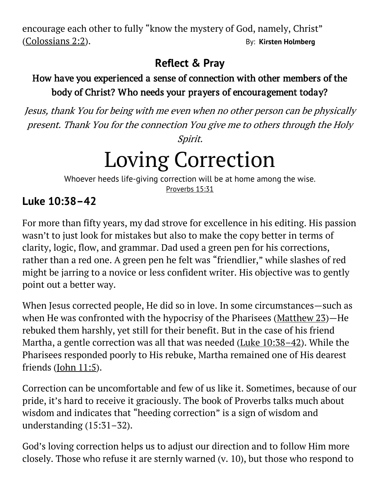encourage each other to fully "know the mystery of God, namely, Christ" [\(Colossians 2:2\)](https://biblia.com/bible/niv/Col%202.2). By: **[Kirsten Holmberg](https://odb.org/author/kirstenholmberg/)**

### **Reflect & Pray**

#### How have you experienced a sense of connection with other members of the body of Christ? Who needs your prayers of encouragement today?

Jesus, thank You for being with me even when no other person can be physically present. Thank You for the connection You give me to others through the Holy

Spirit.

# Loving Correction

Whoever heeds life-giving correction will be at home among the wise. [Proverbs 15:31](https://biblia.com/bible/niv/Prov%2015.31)

### **Luke 10:38–42**

For more than fifty years, my dad strove for excellence in his editing. His passion wasn't to just look for mistakes but also to make the copy better in terms of clarity, logic, flow, and grammar. Dad used a green pen for his corrections, rather than a red one. A green pen he felt was "friendlier," while slashes of red might be jarring to a novice or less confident writer. His objective was to gently point out a better way.

When Jesus corrected people, He did so in love. In some circumstances—such as when He was confronted with the hypocrisy of the Pharisees [\(Matthew 23\)](https://biblia.com/bible/niv/Matt%2023)-He rebuked them harshly, yet still for their benefit. But in the case of his friend Martha, a gentle correction was all that was needed [\(Luke 10:38](https://biblia.com/bible/niv/Luke%2010.38%E2%80%9342)–42). While the Pharisees responded poorly to His rebuke, Martha remained one of His dearest friends [\(John 11:5\)](https://biblia.com/bible/niv/John%2011.5).

Correction can be uncomfortable and few of us like it. Sometimes, because of our pride, it's hard to receive it graciously. The book of Proverbs talks much about wisdom and indicates that "heeding correction" is a sign of wisdom and understanding (15:31–32).

God's loving correction helps us to adjust our direction and to follow Him more closely. Those who refuse it are sternly warned (v. 10), but those who respond to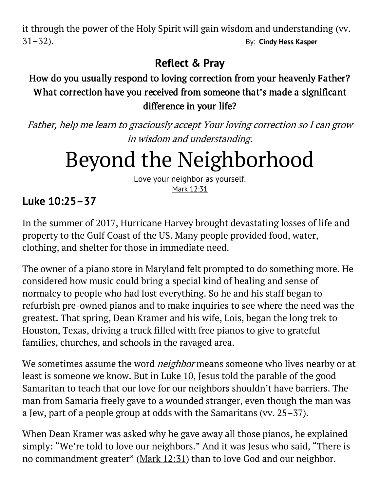it through the power of the Holy Spirit will gain wisdom and understanding (vv. 31–32). By: **[Cindy Hess Kasper](https://odb.org/author/cindyhesskasper/)**

### **Reflect & Pray**

#### How do you usually respond to loving correction from your heavenly Father? What correction have you received from someone that's made a significant difference in your life?

Father, help me learn to graciously accept Your loving correction so I can grow in wisdom and understanding.

# Beyond the Neighborhood

Love your neighbor as yourself. [Mark 12:31](https://biblia.com/bible/niv/Mark%2012.31)

### **Luke 10:25–37**

In the summer of 2017, Hurricane Harvey brought devastating losses of life and property to the Gulf Coast of the US. Many people provided food, water, clothing, and shelter for those in immediate need.

The owner of a piano store in Maryland felt prompted to do something more. He considered how music could bring a special kind of healing and sense of normalcy to people who had lost everything. So he and his staff began to refurbish pre-owned pianos and to make inquiries to see where the need was the greatest. That spring, Dean Kramer and his wife, Lois, began the long trek to Houston, Texas, driving a truck filled with free pianos to give to grateful families, churches, and schools in the ravaged area.

We sometimes assume the word *neighbor* means someone who lives nearby or at least is someone we know. But in [Luke 10,](https://biblia.com/bible/niv/Luke%2010) Jesus told the parable of the good Samaritan to teach that our love for our neighbors shouldn't have barriers. The man from Samaria freely gave to a wounded stranger, even though the man was a Jew, part of a people group at odds with the Samaritans (vv. 25–37).

When Dean Kramer was asked why he gave away all those pianos, he explained simply: "We're told to love our neighbors." And it was Jesus who said, "There is no commandment greater" ([Mark 12:31\)](https://biblia.com/bible/niv/Mark%2012.31) than to love God and our neighbor.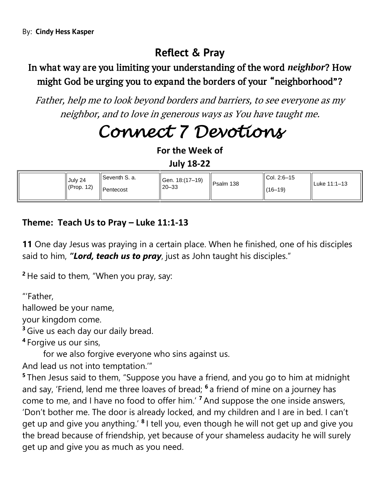#### In what way are you limiting your understanding of the word *neighbor*? How might God be urging you to expand the borders of your "neighborhood"?

Father, help me to look beyond borders and barriers, to see everyone as my neighbor, and to love in generous ways as You have taught me.

## *Connect 7 Devotions*

**For the Week of**

**July 18-22**

| ll Seventh S. a.<br>Gen. 18: (17-19)<br>July 24<br>$\vert$ (Prop. 12)<br>$120 - 33$<br>Pentecost | Psalm 138 | $ICol. 2:6-15$<br>$(16-19)$ | ll Luke 11:1–13 |
|--------------------------------------------------------------------------------------------------|-----------|-----------------------------|-----------------|
|--------------------------------------------------------------------------------------------------|-----------|-----------------------------|-----------------|

#### **Theme: Teach Us to Pray – Luke 11:1-13**

**11** One day Jesus was praying in a certain place. When he finished, one of his disciples said to him, *"Lord, teach us to pray*, just as John taught his disciples."

**<sup>2</sup>** He said to them, "When you pray, say:

"'Father,

hallowed be your name,

your kingdom come.

**<sup>3</sup>** Give us each day our daily bread.

**4** Forgive us our sins,

for we also forgive everyone who sins against us.

And lead us not into temptation.'"

**5** Then Jesus said to them, "Suppose you have a friend, and you go to him at midnight and say, 'Friend, lend me three loaves of bread; **<sup>6</sup>** a friend of mine on a journey has come to me, and I have no food to offer him.' **<sup>7</sup>** And suppose the one inside answers, 'Don't bother me. The door is already locked, and my children and I are in bed. I can't get up and give you anything.' **<sup>8</sup>** I tell you, even though he will not get up and give you the bread because of friendship, yet because of your shameless audacity he will surely get up and give you as much as you need.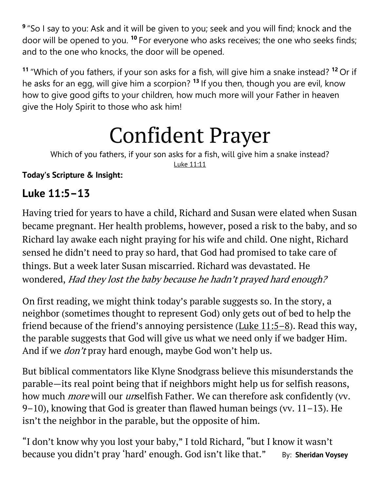**9** "So I say to you: Ask and it will be given to you; seek and you will find; knock and the door will be opened to you. **<sup>10</sup>** For everyone who asks receives; the one who seeks finds; and to the one who knocks, the door will be opened.

**<sup>11</sup>** "Which of you fathers, if your son asks for a fish, will give him a snake instead? **<sup>12</sup>** Or if he asks for an egg, will give him a scorpion? **<sup>13</sup>** If you then, though you are evil, know how to give good gifts to your children, how much more will your Father in heaven give the Holy Spirit to those who ask him!

# Confident Prayer

Which of you fathers, if your son asks for a fish, will give him a snake instead? [Luke 11:11](https://biblia.com/bible/niv/Luke%2011.11)

**Today's Scripture & Insight:**

#### **Luke 11:5–13**

Having tried for years to have a child, Richard and Susan were elated when Susan became pregnant. Her health problems, however, posed a risk to the baby, and so Richard lay awake each night praying for his wife and child. One night, Richard sensed he didn't need to pray so hard, that God had promised to take care of things. But a week later Susan miscarried. Richard was devastated. He wondered, Had they lost the baby because he hadn't prayed hard enough?

On first reading, we might think today's parable suggests so. In the story, a neighbor (sometimes thought to represent God) only gets out of bed to help the friend because of the friend's annoying persistence (Luke  $11:5-8$ ). Read this way, the parable suggests that God will give us what we need only if we badger Him. And if we *don't* pray hard enough, maybe God won't help us.

But biblical commentators like Klyne Snodgrass believe this misunderstands the parable—its real point being that if neighbors might help us for selfish reasons, how much *more* will our *un*selfish Father. We can therefore ask confidently (vv. 9–10), knowing that God is greater than flawed human beings (vv.  $11-13$ ). He isn't the neighbor in the parable, but the opposite of him.

"I don't know why you lost your baby," I told Richard, "but I know it wasn't because you didn't pray 'hard' enough. God isn't like that." By: **[Sheridan Voysey](https://odb.org/author/svoysey/)**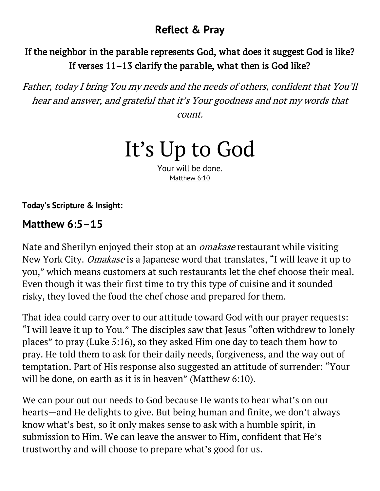#### If the neighbor in the parable represents God, what does it suggest God is like? If verses 11–13 clarify the parable, what then is God like?

Father, today I bring You my needs and the needs of others, confident that You'll hear and answer, and grateful that it's Your goodness and not my words that count.

## It's Up to God

Your will be done. [Matthew 6:10](https://biblia.com/bible/niv/Matt%206.10)

**Today's Scripture & Insight:**

#### **Matthew 6:5–15**

Nate and Sherilyn enjoyed their stop at an omakase restaurant while visiting New York City. Omakase is a Japanese word that translates, "I will leave it up to you," which means customers at such restaurants let the chef choose their meal. Even though it was their first time to try this type of cuisine and it sounded risky, they loved the food the chef chose and prepared for them.

That idea could carry over to our attitude toward God with our prayer requests: "I will leave it up to You." The disciples saw that Jesus "often withdrew to lonely places" to pray ([Luke 5:16\)](https://biblia.com/bible/niv/Luke%205.16), so they asked Him one day to teach them how to pray. He told them to ask for their daily needs, forgiveness, and the way out of temptation. Part of His response also suggested an attitude of surrender: "Your will be done, on earth as it is in heaven" ([Matthew 6:10\)](https://biblia.com/bible/niv/Matt%206.10).

We can pour out our needs to God because He wants to hear what's on our hearts—and He delights to give. But being human and finite, we don't always know what's best, so it only makes sense to ask with a humble spirit, in submission to Him. We can leave the answer to Him, confident that He's trustworthy and will choose to prepare what's good for us.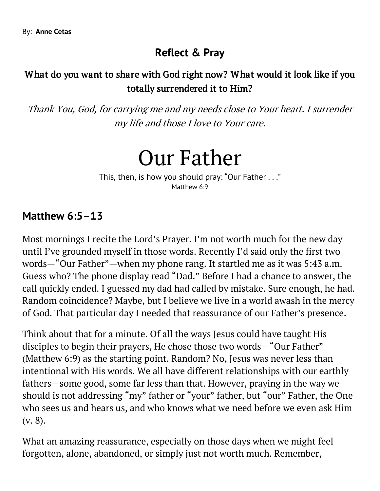#### What do you want to share with God right now? What would it look like if you totally surrendered it to Him?

Thank You, God, for carrying me and my needs close to Your heart. I surrender my life and those I love to Your care.

Our Father

This, then, is how you should pray: "Our Father . . ." [Matthew 6:9](https://biblia.com/bible/niv/Matt%206.9)

#### **Matthew 6:5–13**

Most mornings I recite the Lord's Prayer. I'm not worth much for the new day until I've grounded myself in those words. Recently I'd said only the first two words—"Our Father"—when my phone rang. It startled me as it was 5:43 a.m. Guess who? The phone display read "Dad." Before I had a chance to answer, the call quickly ended. I guessed my dad had called by mistake. Sure enough, he had. Random coincidence? Maybe, but I believe we live in a world awash in the mercy of God. That particular day I needed that reassurance of our Father's presence.

Think about that for a minute. Of all the ways Jesus could have taught His disciples to begin their prayers, He chose those two words—"Our Father" [\(Matthew 6:9\)](https://biblia.com/bible/niv/Matt%206.9) as the starting point. Random? No, Jesus was never less than intentional with His words. We all have different relationships with our earthly fathers—some good, some far less than that. However, praying in the way we should is not addressing "my" father or "your" father, but "our" Father, the One who sees us and hears us, and who knows what we need before we even ask Him (v. 8).

What an amazing reassurance, especially on those days when we might feel forgotten, alone, abandoned, or simply just not worth much. Remember,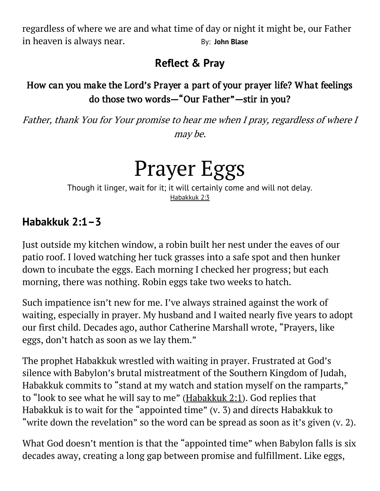regardless of where we are and what time of day or night it might be, our Father in heaven is always near. The same of the Business of Business and Business and Business and Business and Busine

### **Reflect & Pray**

#### How can you make the Lord's Prayer a part of your prayer life? What feelings do those two words—"Our Father"—stir in you?

Father, thank You for Your promise to hear me when I pray, regardless of where I may be.

## Prayer Eggs

Though it linger, wait for it; it will certainly come and will not delay. [Habakkuk 2:3](https://biblia.com/bible/niv/Hab%202.3)

#### **Habakkuk 2:1–3**

Just outside my kitchen window, a robin built her nest under the eaves of our patio roof. I loved watching her tuck grasses into a safe spot and then hunker down to incubate the eggs. Each morning I checked her progress; but each morning, there was nothing. Robin eggs take two weeks to hatch.

Such impatience isn't new for me. I've always strained against the work of waiting, especially in prayer. My husband and I waited nearly five years to adopt our first child. Decades ago, author Catherine Marshall wrote, "Prayers, like eggs, don't hatch as soon as we lay them."

The prophet Habakkuk wrestled with waiting in prayer. Frustrated at God's silence with Babylon's brutal mistreatment of the Southern Kingdom of Judah, Habakkuk commits to "stand at my watch and station myself on the ramparts," to "look to see what he will say to me" ([Habakkuk 2:1\)](https://biblia.com/bible/niv/Hab%202.1). God replies that Habakkuk is to wait for the "appointed time" (v. 3) and directs Habakkuk to "write down the revelation" so the word can be spread as soon as it's given (v. 2).

What God doesn't mention is that the "appointed time" when Babylon falls is six decades away, creating a long gap between promise and fulfillment. Like eggs,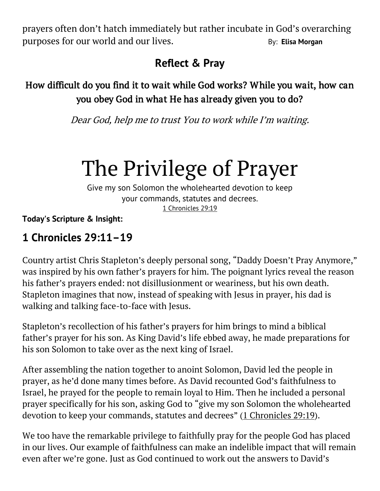prayers often don't hatch immediately but rather incubate in God's overarching purposes for our world and our lives. The same of the By: **[Elisa Morgan](https://odb.org/author/elisamorgan/)** 

### **Reflect & Pray**

#### How difficult do you find it to wait while God works? While you wait, how can you obey God in what He has already given you to do?

Dear God, help me to trust You to work while I'm waiting.

## The Privilege of Prayer

Give my son Solomon the wholehearted devotion to keep your commands, statutes and decrees. [1 Chronicles 29:19](https://biblia.com/bible/niv/1%20Chron%2029.19)

**Today's Scripture & Insight:**

### **1 Chronicles 29:11–19**

Country artist Chris Stapleton's deeply personal song, "Daddy Doesn't Pray Anymore," was inspired by his own father's prayers for him. The poignant lyrics reveal the reason his father's prayers ended: not disillusionment or weariness, but his own death. Stapleton imagines that now, instead of speaking with Jesus in prayer, his dad is walking and talking face-to-face with Jesus.

Stapleton's recollection of his father's prayers for him brings to mind a biblical father's prayer for his son. As King David's life ebbed away, he made preparations for his son Solomon to take over as the next king of Israel.

After assembling the nation together to anoint Solomon, David led the people in prayer, as he'd done many times before. As David recounted God's faithfulness to Israel, he prayed for the people to remain loyal to Him. Then he included a personal prayer specifically for his son, asking God to "give my son Solomon the wholehearted devotion to keep your commands, statutes and decrees" ([1 Chronicles 29:19\)](https://biblia.com/bible/niv/1%20Chron%2029.19).

We too have the remarkable privilege to faithfully pray for the people God has placed in our lives. Our example of faithfulness can make an indelible impact that will remain even after we're gone. Just as God continued to work out the answers to David's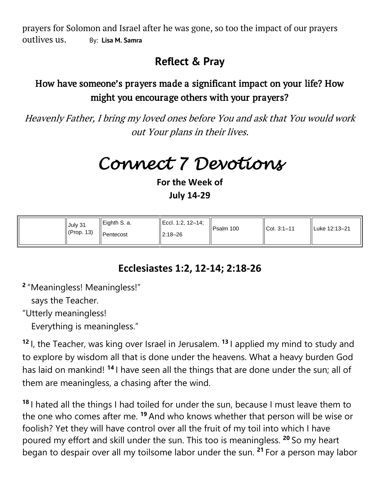prayers for Solomon and Israel after he was gone, so too the impact of our prayers outlives us. By: **[Lisa M. Samra](https://odb.org/author/lisasamra/)**

#### **Reflect & Pray**

#### How have someone's prayers made a significant impact on your life? How might you encourage others with your prayers?

Heavenly Father, I bring my loved ones before You and ask that You would work out Your plans in their lives.

*Connect 7 Devotions* 

**For the Week of July 14-29**

| July 31<br>$\mathsf{I}$ (Prop. 13) | $\parallel$ Eighth S. a.<br>Pentecost | $\parallel$ Eccl. 1:2, 12-14;<br>$12:18 - 26$ | Il Psalm 100 | $ICol. 3:1-11$ | ll Luke 12:13–21 |
|------------------------------------|---------------------------------------|-----------------------------------------------|--------------|----------------|------------------|
|                                    |                                       |                                               |              |                |                  |

#### **Ecclesiastes 1:2, 12-14; 2:18-26**

**2** "Meaningless! Meaningless!"

says the Teacher.

"Utterly meaningless!

Everything is meaningless."

**<sup>12</sup>** I, the Teacher, was king over Israel in Jerusalem. **<sup>13</sup>** I applied my mind to study and to explore by wisdom all that is done under the heavens. What a heavy burden God has laid on mankind! **<sup>14</sup>** I have seen all the things that are done under the sun; all of them are meaningless, a chasing after the wind.

**<sup>18</sup>** I hated all the things I had toiled for under the sun, because I must leave them to the one who comes after me. **<sup>19</sup>** And who knows whether that person will be wise or foolish? Yet they will have control over all the fruit of my toil into which I have poured my effort and skill under the sun. This too is meaningless. **<sup>20</sup>** So my heart began to despair over all my toilsome labor under the sun. **<sup>21</sup>** For a person may labor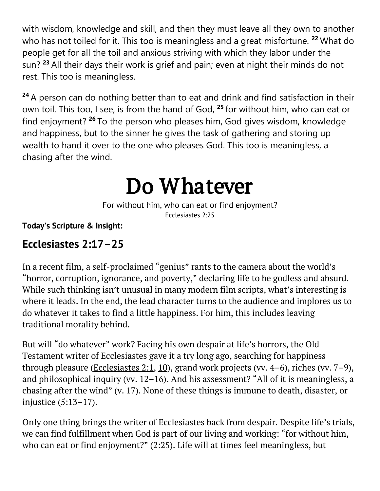with wisdom, knowledge and skill, and then they must leave all they own to another who has not toiled for it. This too is meaningless and a great misfortune. **<sup>22</sup>** What do people get for all the toil and anxious striving with which they labor under the sun? **<sup>23</sup>** All their days their work is grief and pain; even at night their minds do not rest. This too is meaningless.

**<sup>24</sup>** A person can do nothing better than to eat and drink and find satisfaction in their own toil. This too, I see, is from the hand of God, **<sup>25</sup>** for without him, who can eat or find enjoyment? **<sup>26</sup>** To the person who pleases him, God gives wisdom, knowledge and happiness, but to the sinner he gives the task of gathering and storing up wealth to hand it over to the one who pleases God. This too is meaningless, a chasing after the wind.

## Do Whatever

For without him, who can eat or find enjoyment? [Ecclesiastes 2:25](https://biblia.com/bible/niv/Eccles%202.25)

#### **Today's Scripture & Insight:**

#### **Ecclesiastes 2:17–25**

In a recent film, a self-proclaimed "genius" rants to the camera about the world's "horror, corruption, ignorance, and poverty," declaring life to be godless and absurd. While such thinking isn't unusual in many modern film scripts, what's interesting is where it leads. In the end, the lead character turns to the audience and implores us to do whatever it takes to find a little happiness. For him, this includes leaving traditional morality behind.

But will "do whatever" work? Facing his own despair at life's horrors, the Old Testament writer of Ecclesiastes gave it a try long ago, searching for happiness through pleasure [\(Ecclesiastes 2:1,](https://biblia.com/bible/niv/Eccles%202.1) [10\)](https://biblia.com/bible/niv/Ecclesiastes%202.10), grand work projects (vv.  $4-6$ ), riches (vv.  $7-9$ ), and philosophical inquiry (vv. 12–16). And his assessment? "All of it is meaningless, a chasing after the wind" (v. 17). None of these things is immune to death, disaster, or injustice (5:13–17).

Only one thing brings the writer of Ecclesiastes back from despair. Despite life's trials, we can find fulfillment when God is part of our living and working: "for without him, who can eat or find enjoyment?" (2:25). Life will at times feel meaningless, but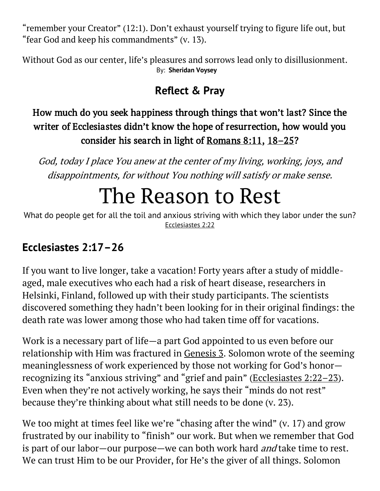"remember your Creator" (12:1). Don't exhaust yourself trying to figure life out, but "fear God and keep his commandments" (v. 13).

Without God as our center, life's pleasures and sorrows lead only to disillusionment. By: **[Sheridan Voysey](https://odb.org/author/svoysey/)**

### **Reflect & Pray**

#### How much do you seek happiness through things that won't last? Since the writer of Ecclesiastes didn't know the hope of resurrection, how would you consider his search in light of [Romans 8:11,](https://biblia.com/bible/niv/Rom%208.11) 18–[25?](https://biblia.com/bible/niv/Romans%208.18%E2%80%9325)

God, today I place You anew at the center of my living, working, joys, and disappointments, for without You nothing will satisfy or make sense.

## The Reason to Rest

What do people get for all the toil and anxious striving with which they labor under the sun? [Ecclesiastes 2:22](https://biblia.com/bible/niv/Eccles%202.22)

### **Ecclesiastes 2:17–26**

If you want to live longer, take a vacation! Forty years after a study of middleaged, male executives who each had a risk of heart disease, researchers in Helsinki, Finland, followed up with their study participants. The scientists discovered something they hadn't been looking for in their original findings: the death rate was lower among those who had taken time off for vacations.

Work is a necessary part of life—a part God appointed to us even before our relationship with Him was fractured in [Genesis 3.](https://biblia.com/bible/niv/Gen%203) Solomon wrote of the seeming meaninglessness of work experienced by those not working for God's honor recognizing its "anxious striving" and "grief and pain" ([Ecclesiastes 2:22](https://biblia.com/bible/niv/Eccles%202.22%E2%80%9323)–23). Even when they're not actively working, he says their "minds do not rest" because they're thinking about what still needs to be done (v. 23).

We too might at times feel like we're "chasing after the wind" (v. 17) and grow frustrated by our inability to "finish" our work. But when we remember that God is part of our labor—our purpose—we can both work hard *and* take time to rest. We can trust Him to be our Provider, for He's the giver of all things. Solomon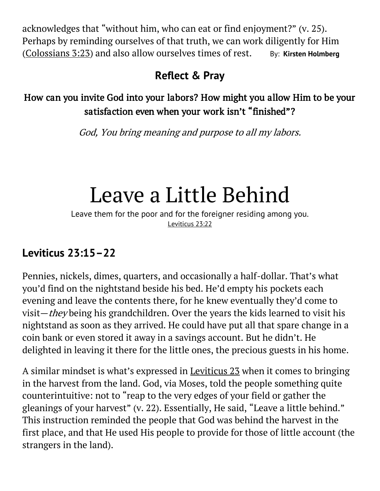acknowledges that "without him, who can eat or find enjoyment?" (v. 25). Perhaps by reminding ourselves of that truth, we can work diligently for Him [\(Colossians 3:23\)](https://biblia.com/bible/niv/Col%203.23) and also allow ourselves times of rest. By: **[Kirsten Holmberg](https://odb.org/author/kirstenholmberg/)** 

#### **Reflect & Pray**

How can you invite God into your labors? How might you allow Him to be your satisfaction even when your work isn't "finished"?

God, You bring meaning and purpose to all my labors.

## Leave a Little Behind

Leave them for the poor and for the foreigner residing among you. [Leviticus 23:22](https://biblia.com/bible/niv/Lev%2023.22)

### **Leviticus 23:15–22**

Pennies, nickels, dimes, quarters, and occasionally a half-dollar. That's what you'd find on the nightstand beside his bed. He'd empty his pockets each evening and leave the contents there, for he knew eventually they'd come to visit—they being his grandchildren. Over the years the kids learned to visit his nightstand as soon as they arrived. He could have put all that spare change in a coin bank or even stored it away in a savings account. But he didn't. He delighted in leaving it there for the little ones, the precious guests in his home.

A similar mindset is what's expressed in [Leviticus 23](https://biblia.com/bible/niv/Lev%2023) when it comes to bringing in the harvest from the land. God, via Moses, told the people something quite counterintuitive: not to "reap to the very edges of your field or gather the gleanings of your harvest" (v. 22). Essentially, He said, "Leave a little behind." This instruction reminded the people that God was behind the harvest in the first place, and that He used His people to provide for those of little account (the strangers in the land).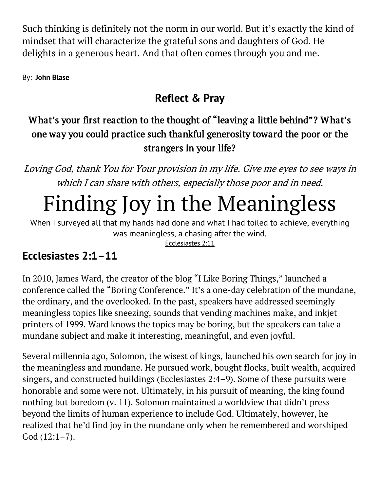Such thinking is definitely not the norm in our world. But it's exactly the kind of mindset that will characterize the grateful sons and daughters of God. He delights in a generous heart. And that often comes through you and me.

By: **[John Blase](https://odb.org/author/johnblase/)**

### **Reflect & Pray**

### What's your first reaction to the thought of "leaving a little behind"? What's one way you could practice such thankful generosity toward the poor or the strangers in your life?

Loving God, thank You for Your provision in my life. Give me eyes to see ways in which I can share with others, especially those poor and in need.

# Finding Joy in the Meaningless

When I surveyed all that my hands had done and what I had toiled to achieve, everything was meaningless, a chasing after the wind.

[Ecclesiastes 2:11](https://biblia.com/bible/niv/Eccles%202.11)

## **Ecclesiastes 2:1–11**

In 2010, James Ward, the creator of the blog "I Like Boring Things," launched a conference called the "Boring Conference." It's a one-day celebration of the mundane, the ordinary, and the overlooked. In the past, speakers have addressed seemingly meaningless topics like sneezing, sounds that vending machines make, and inkjet printers of 1999. Ward knows the topics may be boring, but the speakers can take a mundane subject and make it interesting, meaningful, and even joyful.

Several millennia ago, Solomon, the wisest of kings, launched his own search for joy in the meaningless and mundane. He pursued work, bought flocks, built wealth, acquired singers, and constructed buildings [\(Ecclesiastes 2:4](https://biblia.com/bible/niv/Eccles%202.4%E2%80%939)–9). Some of these pursuits were honorable and some were not. Ultimately, in his pursuit of meaning, the king found nothing but boredom (v. 11). Solomon maintained a worldview that didn't press beyond the limits of human experience to include God. Ultimately, however, he realized that he'd find joy in the mundane only when he remembered and worshiped God (12:1–7).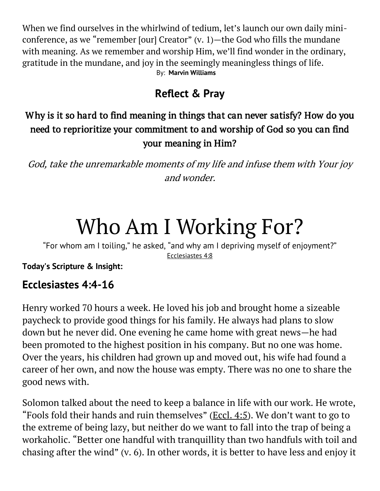When we find ourselves in the whirlwind of tedium, let's launch our own daily miniconference, as we "remember [our] Creator"  $(v, 1)$ —the God who fills the mundane with meaning. As we remember and worship Him, we'll find wonder in the ordinary, gratitude in the mundane, and joy in the seemingly meaningless things of life. By: **[Marvin Williams](https://odb.org/author/marvinwilliams/)**

### **Reflect & Pray**

#### Why is it so hard to find meaning in things that can never satisfy? How do you need to reprioritize your commitment to and worship of God so you can find your meaning in Him?

God, take the unremarkable moments of my life and infuse them with Your joy and wonder.

# Who Am I Working For?

"For whom am I toiling," he asked, "and why am I depriving myself of enjoyment?" [Ecclesiastes 4:8](https://biblia.com/bible/niv/Eccles%204.8)

**Today's Scripture & Insight:**

#### **Ecclesiastes 4:4-16**

Henry worked 70 hours a week. He loved his job and brought home a sizeable paycheck to provide good things for his family. He always had plans to slow down but he never did. One evening he came home with great news—he had been promoted to the highest position in his company. But no one was home. Over the years, his children had grown up and moved out, his wife had found a career of her own, and now the house was empty. There was no one to share the good news with.

Solomon talked about the need to keep a balance in life with our work. He wrote, "Fools fold their hands and ruin themselves" ( $\underline{E}$ ccl. 4:5). We don't want to go to the extreme of being lazy, but neither do we want to fall into the trap of being a workaholic. "Better one handful with tranquillity than two handfuls with toil and chasing after the wind" (v. 6). In other words, it is better to have less and enjoy it